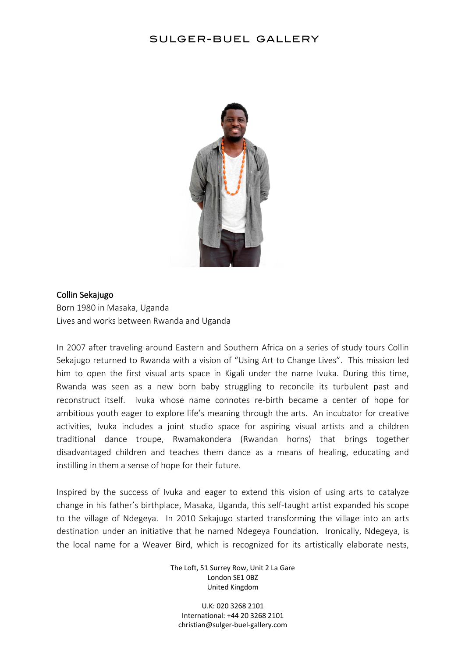## SULGER-BUEL GALLERY



### Collin Sekajugo

Born 1980 in Masaka, Uganda Lives and works between Rwanda and Uganda

In 2007 after traveling around Eastern and Southern Africa on a series of study tours Collin Sekajugo returned to Rwanda with a vision of "Using Art to Change Lives". This mission led him to open the first visual arts space in Kigali under the name Ivuka. During this time, Rwanda was seen as a new born baby struggling to reconcile its turbulent past and reconstruct itself. Ivuka whose name connotes re-birth became a center of hope for ambitious youth eager to explore life's meaning through the arts. An incubator for creative activities, Ivuka includes a joint studio space for aspiring visual artists and a children traditional dance troupe, Rwamakondera (Rwandan horns) that brings together disadvantaged children and teaches them dance as a means of healing, educating and instilling in them a sense of hope for their future.

Inspired by the success of Ivuka and eager to extend this vision of using arts to catalyze change in his father's birthplace, Masaka, Uganda, this self-taught artist expanded his scope to the village of Ndegeya. In 2010 Sekajugo started transforming the village into an arts destination under an initiative that he named Ndegeya Foundation. Ironically, Ndegeya, is the local name for a Weaver Bird, which is recognized for its artistically elaborate nests,

> The Loft, 51 Surrey Row, Unit 2 La Gare London SE1 0BZ United Kingdom

U.K: 020 3268 2101 International: +44 20 3268 2101 christian@sulger-buel-gallery.com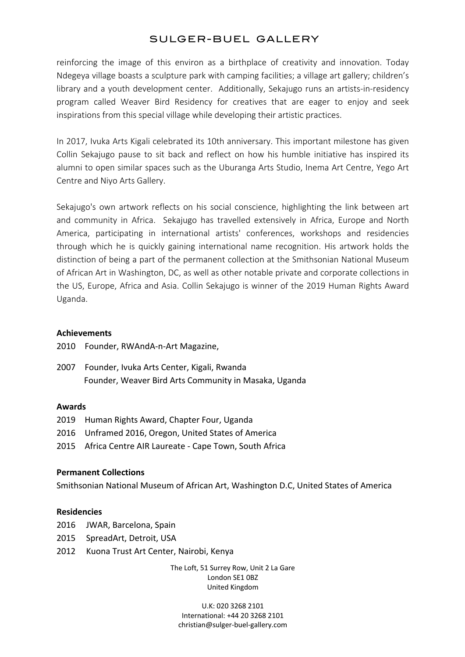# SULGER-BUEL GALLERY

reinforcing the image of this environ as a birthplace of creativity and innovation. Today Ndegeya village boasts a sculpture park with camping facilities; a village art gallery; children's library and a youth development center. Additionally, Sekajugo runs an artists-in-residency program called Weaver Bird Residency for creatives that are eager to enjoy and seek inspirations from this special village while developing their artistic practices.

In 2017, Ivuka Arts Kigali celebrated its 10th anniversary. This important milestone has given Collin Sekajugo pause to sit back and reflect on how his humble initiative has inspired its alumni to open similar spaces such as the Uburanga Arts Studio, Inema Art Centre, Yego Art Centre and Niyo Arts Gallery.

Sekajugo's own artwork reflects on his social conscience, highlighting the link between art and community in Africa. Sekajugo has travelled extensively in Africa, Europe and North America, participating in international artists' conferences, workshops and residencies through which he is quickly gaining international name recognition. His artwork holds the distinction of being a part of the permanent collection at the Smithsonian National Museum of African Art in Washington, DC, as well as other notable private and corporate collections in the US, Europe, Africa and Asia. Collin Sekajugo is winner of the 2019 Human Rights Award Uganda.

## **Achievements**

2010 Founder, RWAndA-n-Art Magazine,

2007 Founder, Ivuka Arts Center, Kigali, Rwanda Founder, Weaver Bird Arts Community in Masaka, Uganda

#### **Awards**

2019 Human Rights Award, Chapter Four, Uganda

- 2016 Unframed 2016, Oregon, United States of America
- 2015 Africa Centre AIR Laureate Cape Town, South Africa

#### **Permanent Collections**

Smithsonian National Museum of African Art, Washington D.C, United States of America

#### **Residencies**

- 2016 JWAR, Barcelona, Spain
- 2015 SpreadArt, Detroit, USA
- 2012 Kuona Trust Art Center, Nairobi, Kenya

The Loft, 51 Surrey Row, Unit 2 La Gare London SE1 0BZ United Kingdom

U.K: 020 3268 2101 International: +44 20 3268 2101 christian@sulger-buel-gallery.com